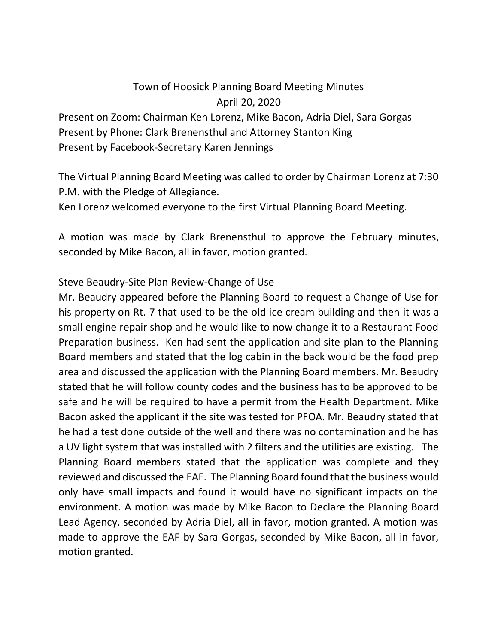## Town of Hoosick Planning Board Meeting Minutes April 20, 2020

Present on Zoom: Chairman Ken Lorenz, Mike Bacon, Adria Diel, Sara Gorgas Present by Phone: Clark Brenensthul and Attorney Stanton King Present by Facebook-Secretary Karen Jennings

The Virtual Planning Board Meeting was called to order by Chairman Lorenz at 7:30 P.M. with the Pledge of Allegiance.

Ken Lorenz welcomed everyone to the first Virtual Planning Board Meeting.

A motion was made by Clark Brenensthul to approve the February minutes, seconded by Mike Bacon, all in favor, motion granted.

## Steve Beaudry-Site Plan Review-Change of Use

Mr. Beaudry appeared before the Planning Board to request a Change of Use for his property on Rt. 7 that used to be the old ice cream building and then it was a small engine repair shop and he would like to now change it to a Restaurant Food Preparation business. Ken had sent the application and site plan to the Planning Board members and stated that the log cabin in the back would be the food prep area and discussed the application with the Planning Board members. Mr. Beaudry stated that he will follow county codes and the business has to be approved to be safe and he will be required to have a permit from the Health Department. Mike Bacon asked the applicant if the site was tested for PFOA. Mr. Beaudry stated that he had a test done outside of the well and there was no contamination and he has a UV light system that was installed with 2 filters and the utilities are existing. The Planning Board members stated that the application was complete and they reviewed and discussed the EAF. The Planning Board found that the business would only have small impacts and found it would have no significant impacts on the environment. A motion was made by Mike Bacon to Declare the Planning Board Lead Agency, seconded by Adria Diel, all in favor, motion granted. A motion was made to approve the EAF by Sara Gorgas, seconded by Mike Bacon, all in favor, motion granted.